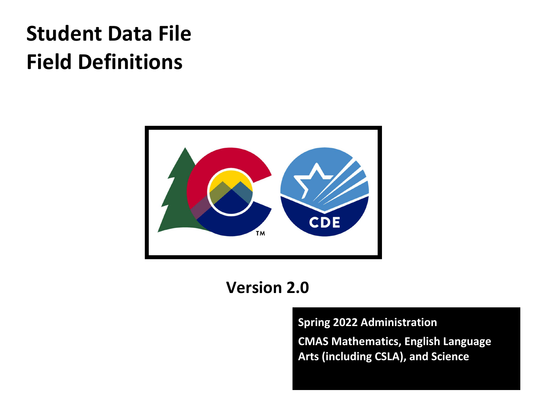# Student Data File Field Definitions



# Version 2.0

Spring 2022 Administration

CMAS Mathematics, English Language Arts (including CSLA), and Science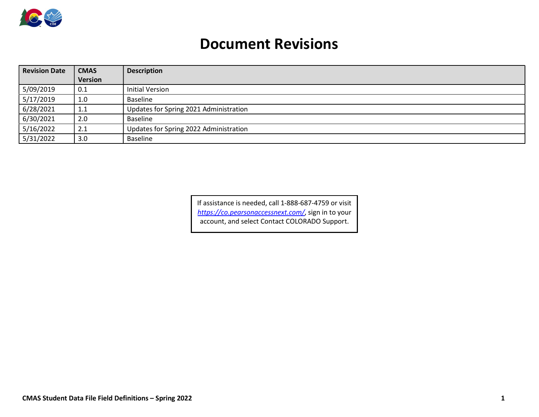

## Document Revisions

| <b>Revision Date</b> | <b>CMAS</b> | <b>Description</b>                     |
|----------------------|-------------|----------------------------------------|
|                      | Version     |                                        |
| 5/09/2019            | 0.1         | <b>Initial Version</b>                 |
| 5/17/2019            | 1.0         | Baseline                               |
| 6/28/2021            | 1.1         | Updates for Spring 2021 Administration |
| 6/30/2021            | 2.0         | Baseline                               |
| 5/16/2022            | 2.1         | Updates for Spring 2022 Administration |
| 5/31/2022            | 3.0         | Baseline                               |

If assistance is needed, call 1-888-687-4759 or visit https://co.pearsonaccessnext.com/, sign in to your account, and select Contact COLORADO Support.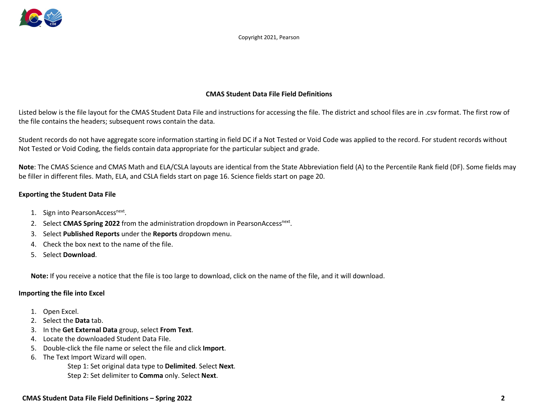

Copyright 2021, Pearson

#### CMAS Student Data File Field Definitions

Listed below is the file layout for the CMAS Student Data File and instructions for accessing the file. The district and school files are in .csv format. The first row of the file contains the headers; subsequent rows contain the data.

Student records do not have aggregate score information starting in field DC if a Not Tested or Void Code was applied to the record. For student records without Not Tested or Void Coding, the fields contain data appropriate for the particular subject and grade.

Note: The CMAS Science and CMAS Math and ELA/CSLA layouts are identical from the State Abbreviation field (A) to the Percentile Rank field (DF). Some fields may be filler in different files. Math, ELA, and CSLA fields start on page 16. Science fields start on page 20.

#### Exporting the Student Data File

- 1. Sign into PearsonAccess<sup>next</sup>.
- 2. Select CMAS Spring 2022 from the administration dropdown in PearsonAccess<sup>next</sup>.
- 3. Select Published Reports under the Reports dropdown menu.
- 4. Check the box next to the name of the file.
- 5. Select Download.

Note: If you receive a notice that the file is too large to download, click on the name of the file, and it will download.

#### Importing the file into Excel

- 1. Open Excel.
- 2. Select the Data tab.
- 3. In the Get External Data group, select From Text.
- 4. Locate the downloaded Student Data File.
- 5. Double-click the file name or select the file and click Import.
- 6. The Text Import Wizard will open.

Step 1: Set original data type to Delimited. Select Next. Step 2: Set delimiter to Comma only. Select Next.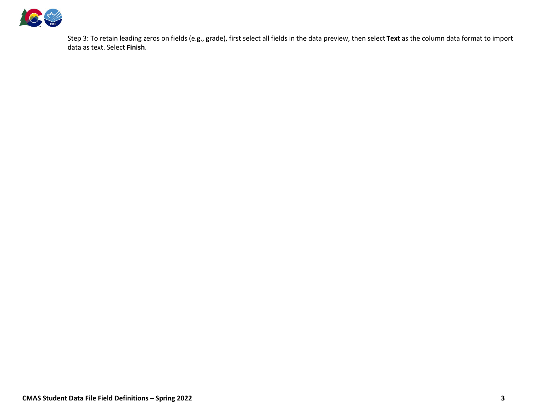

Step 3: To retain leading zeros on fields (e.g., grade), first select all fields in the data preview, then select Text as the column data format to import data as text. Select Finish.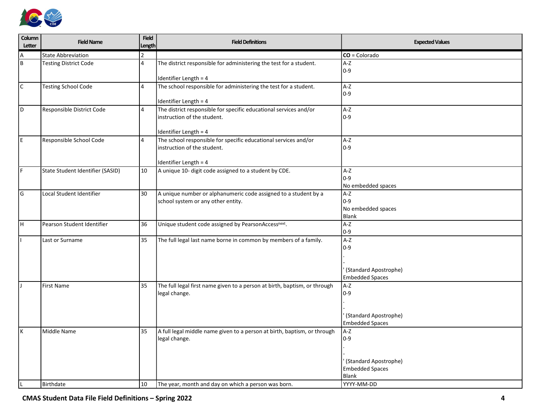

| Column<br>Letter | <b>Field Name</b>                | <b>Field</b><br>Length  | <b>Field Definitions</b>                                                                 | <b>Expected Values</b>      |
|------------------|----------------------------------|-------------------------|------------------------------------------------------------------------------------------|-----------------------------|
| Α                | <b>State Abbreviation</b>        | $\mathfrak{p}$          |                                                                                          | $CO = Colorado$             |
| B                | <b>Testing District Code</b>     | $\overline{\mathbf{4}}$ | The district responsible for administering the test for a student.                       | A-Z                         |
|                  |                                  |                         |                                                                                          | $ 0-9 $                     |
|                  |                                  |                         | Identifier Length = 4                                                                    |                             |
| $\mathsf{C}$     | <b>Testing School Code</b>       | 4                       | The school responsible for administering the test for a student.                         | A-Z                         |
|                  |                                  |                         | Identifier Length = 4                                                                    | $ 0-9 $                     |
| l D              | Responsible District Code        | 4                       | The district responsible for specific educational services and/or                        | A-Z                         |
|                  |                                  |                         | instruction of the student.                                                              | $0-9$                       |
|                  |                                  |                         |                                                                                          |                             |
| E.               | Responsible School Code          | 4                       | Identifier Length = 4<br>The school responsible for specific educational services and/or | A-Z                         |
|                  |                                  |                         | instruction of the student.                                                              | $0-9$                       |
|                  |                                  |                         |                                                                                          |                             |
|                  |                                  |                         | Identifier Length = 4                                                                    |                             |
| l F              | State Student Identifier (SASID) | 10                      | A unique 10- digit code assigned to a student by CDE.                                    | A-Z                         |
|                  |                                  |                         |                                                                                          | $0-9$<br>No embedded spaces |
| G                | Local Student Identifier         | 30                      | A unique number or alphanumeric code assigned to a student by a                          | A-Z                         |
|                  |                                  |                         | school system or any other entity.                                                       | $ 0-9 $                     |
|                  |                                  |                         |                                                                                          | No embedded spaces          |
|                  |                                  |                         |                                                                                          | Blank                       |
| H.               | Pearson Student Identifier       | 36                      | Unique student code assigned by PearsonAccess <sup>next</sup> .                          | A-Z<br>$0-9$                |
|                  | Last or Surname                  | 35                      | The full legal last name borne in common by members of a family.                         | $A-Z$                       |
|                  |                                  |                         |                                                                                          | $ 0-9 $                     |
|                  |                                  |                         |                                                                                          |                             |
|                  |                                  |                         |                                                                                          | (Standard Apostrophe)       |
|                  |                                  |                         |                                                                                          | <b>Embedded Spaces</b>      |
|                  | First Name                       | 35                      | The full legal first name given to a person at birth, baptism, or through                | A-Z                         |
|                  |                                  |                         | legal change.                                                                            | $0-9$                       |
|                  |                                  |                         |                                                                                          |                             |
|                  |                                  |                         |                                                                                          | (Standard Apostrophe)       |
|                  |                                  |                         |                                                                                          | <b>Embedded Spaces</b>      |
| lκ               | Middle Name                      | 35                      | A full legal middle name given to a person at birth, baptism, or through                 | A-Z                         |
|                  |                                  |                         | legal change.                                                                            | $0-9$                       |
|                  |                                  |                         |                                                                                          |                             |
|                  |                                  |                         |                                                                                          | (Standard Apostrophe)       |
|                  |                                  |                         |                                                                                          | <b>Embedded Spaces</b>      |
|                  |                                  |                         |                                                                                          | Blank                       |
|                  | Birthdate                        | 10                      | The year, month and day on which a person was born.                                      | YYYY-MM-DD                  |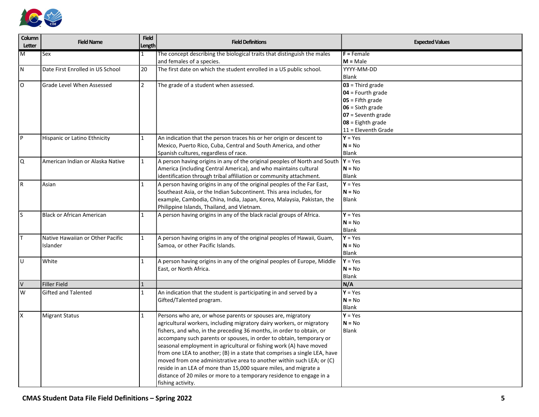

| Column<br>Letter          | <b>Field Name</b>                | <b>Field</b><br>Length | <b>Field Definitions</b>                                                                       | <b>Expected Values</b>                   |
|---------------------------|----------------------------------|------------------------|------------------------------------------------------------------------------------------------|------------------------------------------|
| $\overline{\mathsf{M}}$   | Sex                              | 1                      | The concept describing the biological traits that distinguish the males                        | $F =$ Female                             |
|                           |                                  |                        | and females of a species.                                                                      | $M = Male$                               |
| N.                        | Date First Enrolled in US School | 20                     | The first date on which the student enrolled in a US public school.                            | YYYY-MM-DD                               |
|                           |                                  |                        |                                                                                                | Blank                                    |
| l O                       | <b>Grade Level When Assessed</b> | $\overline{2}$         | The grade of a student when assessed.                                                          | $03$ = Third grade                       |
|                           |                                  |                        |                                                                                                | $04$ = Fourth grade                      |
|                           |                                  |                        |                                                                                                | $05$ = Fifth grade<br>$06 =$ Sixth grade |
|                           |                                  |                        |                                                                                                | $07 =$ Seventh grade                     |
|                           |                                  |                        |                                                                                                | $08 =$ Eighth grade                      |
|                           |                                  |                        |                                                                                                | 11 = Eleventh Grade                      |
| P                         | Hispanic or Latino Ethnicity     | 1                      | An indication that the person traces his or her origin or descent to                           | $Y = Yes$                                |
|                           |                                  |                        | Mexico, Puerto Rico, Cuba, Central and South America, and other                                | $N = No$                                 |
|                           |                                  |                        | Spanish cultures, regardless of race.                                                          | <b>Blank</b>                             |
| Q                         | American Indian or Alaska Native | $\mathbf{1}$           | A person having origins in any of the original peoples of North and South                      | $Y = Yes$                                |
|                           |                                  |                        | America (including Central America), and who maintains cultural                                | $N = No$                                 |
|                           |                                  |                        | identification through tribal affiliation or community attachment.                             | <b>Blank</b>                             |
| $\overline{R}$            | Asian                            | $\mathbf{1}$           | A person having origins in any of the original peoples of the Far East,                        | $Y = Yes$                                |
|                           |                                  |                        | Southeast Asia, or the Indian Subcontinent. This area includes, for                            | $N = No$                                 |
|                           |                                  |                        | example, Cambodia, China, India, Japan, Korea, Malaysia, Pakistan, the                         | <b>Blank</b>                             |
|                           |                                  |                        | Philippine Islands, Thailand, and Vietnam.                                                     |                                          |
| ls.                       | <b>Black or African American</b> | $\mathbf{1}$           | A person having origins in any of the black racial groups of Africa.                           | $Y = Yes$                                |
|                           |                                  |                        |                                                                                                | $N = No$                                 |
|                           |                                  |                        |                                                                                                | <b>Blank</b>                             |
| İΤ                        | Native Hawaiian or Other Pacific | 1                      | A person having origins in any of the original peoples of Hawaii, Guam,                        | $Y = Yes$                                |
|                           | Islander                         |                        | Samoa, or other Pacific Islands.                                                               | $N = No$                                 |
|                           |                                  |                        |                                                                                                | Blank                                    |
| ΙU                        | White                            | 1                      | A person having origins in any of the original peoples of Europe, Middle                       | $Y = Yes$                                |
|                           |                                  |                        | East, or North Africa.                                                                         | $N = No$<br>Blank                        |
| $\overline{V}$            | Filler Field                     | $\mathbf{1}$           |                                                                                                | N/A                                      |
| W                         | <b>Gifted and Talented</b>       | $\mathbf{1}$           |                                                                                                | $Y = Yes$                                |
|                           |                                  |                        | An indication that the student is participating in and served by a<br>Gifted/Talented program. | $N = No$                                 |
|                           |                                  |                        |                                                                                                | Blank                                    |
| $\boldsymbol{\mathsf{x}}$ | <b>Migrant Status</b>            | $\mathbf{1}$           | Persons who are, or whose parents or spouses are, migratory                                    | $Y = Yes$                                |
|                           |                                  |                        | agricultural workers, including migratory dairy workers, or migratory                          | $N = No$                                 |
|                           |                                  |                        | fishers, and who, in the preceding 36 months, in order to obtain, or                           | Blank                                    |
|                           |                                  |                        | accompany such parents or spouses, in order to obtain, temporary or                            |                                          |
|                           |                                  |                        | seasonal employment in agricultural or fishing work (A) have moved                             |                                          |
|                           |                                  |                        | from one LEA to another; (B) in a state that comprises a single LEA, have                      |                                          |
|                           |                                  |                        | moved from one administrative area to another within such LEA; or (C)                          |                                          |
|                           |                                  |                        | reside in an LEA of more than 15,000 square miles, and migrate a                               |                                          |
|                           |                                  |                        | distance of 20 miles or more to a temporary residence to engage in a                           |                                          |
|                           |                                  |                        | fishing activity.                                                                              |                                          |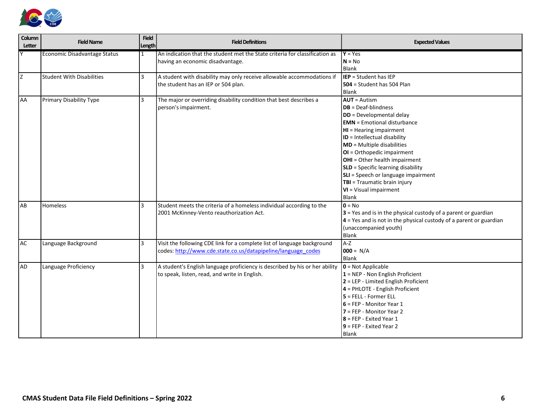

| Column<br><b>Letter</b> | <b>Field Name</b>                | <b>Field</b><br>Length | <b>Field Definitions</b>                                                                                                                 | <b>Expected Values</b>                                                                                                                                                                                                                                                                                                                                                                                                                        |
|-------------------------|----------------------------------|------------------------|------------------------------------------------------------------------------------------------------------------------------------------|-----------------------------------------------------------------------------------------------------------------------------------------------------------------------------------------------------------------------------------------------------------------------------------------------------------------------------------------------------------------------------------------------------------------------------------------------|
|                         | Economic Disadvantage Status     | 1                      | An indication that the student met the State criteria for classification as<br>having an economic disadvantage.                          | $Y = Yes$<br>$N = No$<br>Blank                                                                                                                                                                                                                                                                                                                                                                                                                |
| Z                       | <b>Student With Disabilities</b> | $\overline{3}$         | A student with disability may only receive allowable accommodations if<br>the student has an IEP or 504 plan.                            | <b>IEP</b> = Student has IEP<br>504 = Student has 504 Plan<br><b>Blank</b>                                                                                                                                                                                                                                                                                                                                                                    |
| <b>AA</b>               | Primary Disability Type          | 3                      | The major or overriding disability condition that best describes a<br>person's impairment.                                               | $AUT =$ Autism<br>$DB = Deaf-blindness$<br>DD = Developmental delay<br><b>EMN</b> = Emotional disturbance<br>HI = Hearing impairment<br>ID = Intellectual disability<br><b>MD</b> = Multiple disabilities<br>OI = Orthopedic impairment<br><b>OHI</b> = Other health impairment<br><b>SLD</b> = Specific learning disability<br>SLI = Speech or language impairment<br>TBI = Traumatic brain injury<br>VI = Visual impairment<br><b>Blank</b> |
| AB                      | <b>Homeless</b>                  | $\overline{3}$         | Student meets the criteria of a homeless individual according to the<br>2001 McKinney-Vento reauthorization Act.                         | $0 = No$<br>3 = Yes and is in the physical custody of a parent or guardian<br>4 = Yes and is not in the physical custody of a parent or guardian<br>(unaccompanied youth)<br>Blank                                                                                                                                                                                                                                                            |
| <b>AC</b>               | Language Background              | $\overline{3}$         | Visit the following CDE link for a complete list of language background<br>codes: http://www.cde.state.co.us/datapipeline/language codes | $A-Z$<br>$1000 = N/A$<br>Blank                                                                                                                                                                                                                                                                                                                                                                                                                |
| <b>AD</b>               | Language Proficiency             | 3                      | A student's English language proficiency is described by his or her ability<br>to speak, listen, read, and write in English.             | $0 = Not Applicable$<br>$1 =$ NEP - Non English Proficient<br>2 = LEP - Limited English Proficient<br>4 = PHLOTE - English Proficient<br>$5$ = FELL - Former ELL<br>$6$ = FEP - Monitor Year 1<br>$7 = FEP - Monitor Year 2$<br>$8$ = FEP - Exited Year 1<br>$9$ = FEP - Exited Year 2<br><b>Blank</b>                                                                                                                                        |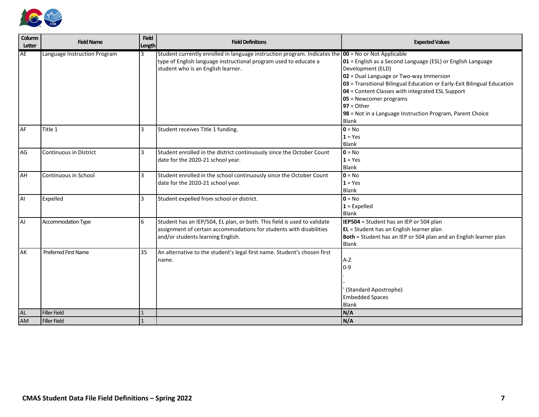

| Column<br>Letter | <b>Field Name</b>             | <b>Field</b><br>Length | <b>Field Definitions</b>                                                                                                                                                                                         | <b>Expected Values</b>                                                                                                                                                                                                                                                                                                                                                               |
|------------------|-------------------------------|------------------------|------------------------------------------------------------------------------------------------------------------------------------------------------------------------------------------------------------------|--------------------------------------------------------------------------------------------------------------------------------------------------------------------------------------------------------------------------------------------------------------------------------------------------------------------------------------------------------------------------------------|
| <b>AE</b>        | Language Instruction Program  | 13                     | Student currently enrolled in language instruction program. Indicates the $100 = No$ or Not Applicable<br>type of English language instructional program used to educate a<br>student who is an English learner. | $ 01$ = English as a Second Language (ESL) or English Language<br>Development (ELD)<br>02 = Dual Language or Two-way Immersion<br>03 = Transitional Bilingual Education or Early-Exit Bilingual Education<br>04 = Content Classes with integrated ESL Support<br>05 = Newcomer programs<br>$97 = Other$<br>98 = Not in a Language Instruction Program, Parent Choice<br><b>Blank</b> |
| <b>AF</b>        | Title 1                       | 3                      | Student receives Title 1 funding.                                                                                                                                                                                | $0 = No$<br>$1 = Yes$<br>Blank                                                                                                                                                                                                                                                                                                                                                       |
| AG               | <b>Continuous in District</b> | 3                      | Student enrolled in the district continuously since the October Count<br>date for the 2020-21 school year.                                                                                                       | $0 = No$<br>$1 = Yes$<br><b>Blank</b>                                                                                                                                                                                                                                                                                                                                                |
| <b>AH</b>        | Continuous in School          | 3                      | Student enrolled in the school continuously since the October Count<br>date for the 2020-21 school year.                                                                                                         | $0 = No$<br>$1 = Yes$<br>Blank                                                                                                                                                                                                                                                                                                                                                       |
| AI               | Expelled                      | 3                      | Student expelled from school or district.                                                                                                                                                                        | $0 = No$<br>$1 =$ Expelled<br>Blank                                                                                                                                                                                                                                                                                                                                                  |
| AJ               | Accommodation Type            | 6                      | Student has an IEP/504, EL plan, or both. This field is used to validate<br>assignment of certain accommodations for students with disabilities<br>and/or students learning English.                             | IEP504 = Student has an IEP or 504 plan<br>EL = Student has an English learner plan<br>Both = Student has an IEP or 504 plan and an English learner plan<br>Blank                                                                                                                                                                                                                    |
| <b>AK</b>        | <b>Preferred First Name</b>   | 35                     | An alternative to the student's legal first name. Student's chosen first<br>name.                                                                                                                                | A-Z<br>$0-9$<br>(Standard Apostrophe)<br><b>Embedded Spaces</b><br>Blank                                                                                                                                                                                                                                                                                                             |
| AL               | Filler Field                  | $\vert$ 1              |                                                                                                                                                                                                                  | N/A                                                                                                                                                                                                                                                                                                                                                                                  |
| <b>AM</b>        | <b>Filler Field</b>           | $\overline{1}$         |                                                                                                                                                                                                                  | N/A                                                                                                                                                                                                                                                                                                                                                                                  |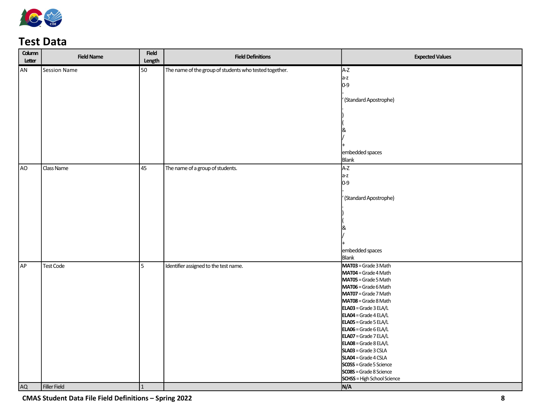

### Test Data

| Column<br>Letter | <b>Field Name</b>   | <b>Field</b><br>Length | <b>Field Definitions</b>                               | <b>Expected Values</b>                             |
|------------------|---------------------|------------------------|--------------------------------------------------------|----------------------------------------------------|
| AN               | Session Name        | 50                     | The name of the group of students who tested together. | A-Z                                                |
|                  |                     |                        |                                                        | $a-z$                                              |
|                  |                     |                        |                                                        | $0-9$                                              |
|                  |                     |                        |                                                        | (Standard Apostrophe)                              |
|                  |                     |                        |                                                        |                                                    |
|                  |                     |                        |                                                        |                                                    |
|                  |                     |                        |                                                        | &                                                  |
|                  |                     |                        |                                                        |                                                    |
|                  |                     |                        |                                                        | embedded spaces                                    |
|                  |                     |                        |                                                        | Blank                                              |
| AO               | Class Name          | $\overline{45}$        | The name of a group of students.                       | A-Z                                                |
|                  |                     |                        |                                                        | $a-z$                                              |
|                  |                     |                        |                                                        | $0-9$                                              |
|                  |                     |                        |                                                        |                                                    |
|                  |                     |                        |                                                        | (Standard Apostrophe)                              |
|                  |                     |                        |                                                        |                                                    |
|                  |                     |                        |                                                        |                                                    |
|                  |                     |                        |                                                        |                                                    |
|                  |                     |                        |                                                        |                                                    |
|                  |                     |                        |                                                        |                                                    |
|                  |                     |                        |                                                        | embedded spaces                                    |
|                  |                     |                        |                                                        | Blank                                              |
| AP               | <b>Test Code</b>    | 5                      | Identifier assigned to the test name.                  | MAT03 = Grade 3 Math<br>MAT04 = Grade 4 Math       |
|                  |                     |                        |                                                        | MAT05 = Grade 5 Math                               |
|                  |                     |                        |                                                        | MAT06 = Grade 6 Math                               |
|                  |                     |                        |                                                        | MAT07 = Grade 7 Math                               |
|                  |                     |                        |                                                        | MAT08 = Grade 8 Math                               |
|                  |                     |                        |                                                        | $ELAO3 = Grade 3 ELA/L$<br>$ELAO4 = Grade 4 EL4/L$ |
|                  |                     |                        |                                                        | $ELAO5 = Grade 5 ELA/L$                            |
|                  |                     |                        |                                                        | $ELAO6 = Grade 6 ELA/L$                            |
|                  |                     |                        |                                                        | ELA07 = Grade 7 ELA/L                              |
|                  |                     |                        |                                                        | $ELAO8 = Grade 8 ELA/L$                            |
|                  |                     |                        |                                                        | SLA03 = Grade 3 CSLA                               |
|                  |                     |                        |                                                        | SLA04 = Grade 4 CSLA<br>SCO5S = Grade 5 Science    |
|                  |                     |                        |                                                        | <b>SCO8S</b> = Grade 8 Science                     |
|                  |                     |                        |                                                        | <b>SCHSS</b> = High School Science                 |
| <b>AQ</b>        | <b>Filler Field</b> | $\mathbf{1}$           |                                                        | N/A                                                |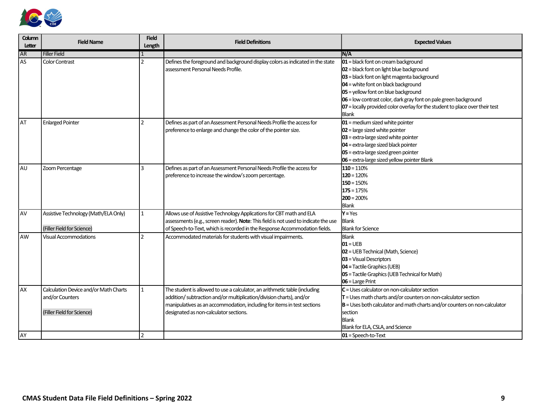

| Column<br>Letter | <b>Field Name</b>                                                                      | <b>Field</b><br>Length  | <b>Field Definitions</b>                                                                                                                                                                                                                                                | <b>Expected Values</b>                                                                                                                                                                                                                                                                                                                                                             |
|------------------|----------------------------------------------------------------------------------------|-------------------------|-------------------------------------------------------------------------------------------------------------------------------------------------------------------------------------------------------------------------------------------------------------------------|------------------------------------------------------------------------------------------------------------------------------------------------------------------------------------------------------------------------------------------------------------------------------------------------------------------------------------------------------------------------------------|
| <b>AR</b>        | <b>Filler Field</b>                                                                    |                         |                                                                                                                                                                                                                                                                         | IN/A                                                                                                                                                                                                                                                                                                                                                                               |
| AS               | <b>Color Contrast</b>                                                                  | $\mathcal{P}$           | Defines the foreground and background display colors as indicated in the state<br>assessment Personal Needs Profile.                                                                                                                                                    | $01$ = black font on cream background<br>$02$ = black font on light blue background<br>03 = black font on light magenta background<br>$04$ = white font on black background<br>05 = yellow font on blue background<br>06 = low contrast color, dark gray font on pale green background<br>$ 07$ = locally provided color overlay for the student to place over their test<br>Blank |
| l AT             | <b>Enlarged Pointer</b>                                                                | $\mathfrak{p}$          | Defines as part of an Assessment Personal Needs Profile the access for<br>preference to enlarge and change the color of the pointer size.                                                                                                                               | $01$ = medium sized white pointer<br>$02$ = large sized white pointer<br>03 = extra-large sized white pointer<br>04 = extra-large sized black pointer<br>05 = extra-large sized green pointer<br>06 = extra-large sized yellow pointer Blank                                                                                                                                       |
| <b>AU</b>        | Zoom Percentage                                                                        | $\overline{\mathbf{3}}$ | Defines as part of an Assessment Personal Needs Profile the access for<br>preference to increase the window's zoom percentage.                                                                                                                                          | $110 = 110%$<br>$120 = 120%$<br>$150 = 150%$<br>$175 = 175%$<br>$200 = 200%$<br><b>Blank</b>                                                                                                                                                                                                                                                                                       |
| <b>AV</b>        | Assistive Technology (Math/ELA Only)<br>(Filler Field for Science)                     | 1                       | Allows use of Assistive Technology Applications for CBT math and ELA<br>assessments (e.g., screen reader). Note: This field is not used to indicate the use<br>of Speech-to-Text, which is recorded in the Response Accommodation fields.                               | $Y = Yes$<br>Blank<br><b>Blank for Science</b>                                                                                                                                                                                                                                                                                                                                     |
| <b>AW</b>        | <b>Visual Accommodations</b>                                                           | $\mathfrak{p}$          | Accommodated materials for students with visual impairments.                                                                                                                                                                                                            | Blank<br>$01 = UEB$<br>02 = UEB Technical (Math, Science)<br>$03$ = Visual Descriptors<br>04 = Tactile Graphics (UEB)<br>05 = Tactile Graphics (UEB Technical for Math)<br>06 = Large Print                                                                                                                                                                                        |
| AX<br>AY         | Calculation Device and/or Math Charts<br>and/or Counters<br>(Filler Field for Science) | $\mathfrak{D}$          | The student is allowed to use a calculator, an arithmetic table (including<br>addition/ subtraction and/or multiplication/division charts), and/or<br>manipulatives as an accommodation, including for items in test sections<br>designated as non-calculator sections. | $C =$ Uses calculator on non-calculator section<br>$\mathsf{T}$ = Uses math charts and/or counters on non-calculator section<br>$\mathbf{B}$ = Uses both calculator and math charts and/or counters on non-calculator<br>section<br><b>Blank</b><br>Blank for ELA, CSLA, and Science<br>$01 =$ Speech-to-Text                                                                      |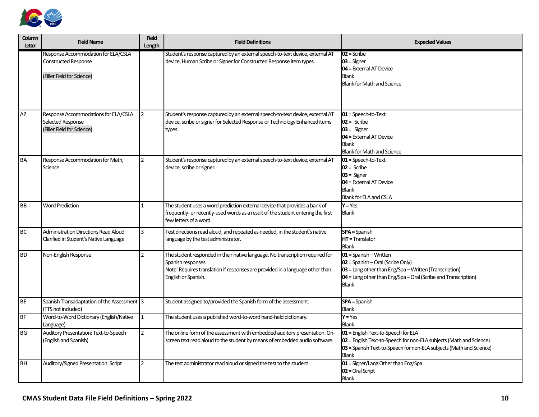

| Column<br>Letter | <b>Field Name</b>                                                                         | <b>Field</b><br>Length | <b>Field Definitions</b>                                                                                                                                                                                    | <b>Expected Values</b>                                                                                                                                                                                               |
|------------------|-------------------------------------------------------------------------------------------|------------------------|-------------------------------------------------------------------------------------------------------------------------------------------------------------------------------------------------------------|----------------------------------------------------------------------------------------------------------------------------------------------------------------------------------------------------------------------|
|                  | Response Accommodation for ELA/CSLA<br>Constructed Response<br>(Filler Field for Science) |                        | Student's response captured by an external speech-to-text device, external AT<br>device, Human Scribe or Signer for Constructed Response item types.                                                        | $02 =$ Scribe<br>$03$ = Signer<br>04 = External AT Device<br><b>Blank</b><br><b>Blank for Math and Science</b>                                                                                                       |
| <b>AZ</b>        | Response Accommodations for ELA/CSLA<br>Selected Response<br>(Filler Field for Science)   | 2                      | Student's response captured by an external speech-to-text device, external AT<br>device, scribe or signer for Selected Response or Technology Enhanced items<br>types.                                      | $01 =$ Speech-to-Text<br>$102 =$ Scribe<br>$03 =$ Signer<br><b>04</b> = External AT Device<br><b>Blank</b><br><b>Blank for Math and Science</b>                                                                      |
| <b>BA</b>        | Response Accommodation for Math,<br>Science                                               | $\overline{2}$         | Student's response captured by an external speech-to-text device, external AT<br>device, scribe or signer.                                                                                                  | $01 =$ Speech-to-Text<br>$02 =$ Scribe<br>$03 =$ Signer<br><b>04</b> = External AT Device<br><b>Blank</b><br>Blank for ELA and CSLA                                                                                  |
| l BB             | <b>Word Prediction</b>                                                                    | 1                      | The student uses a word prediction external device that provides a bank of<br>frequently- or recently-used words as a result of the student entering the first<br>few letters of a word.                    | $Y = Yes$<br><b>Blank</b>                                                                                                                                                                                            |
| <b>BC</b>        | Administration Directions Read Aloud<br>Clarified in Student's Native Language            | 3                      | Test directions read aloud, and repeated as needed, in the student's native<br>language by the test administrator.                                                                                          | <b>SPA</b> = Spanish<br>HT = Translator<br>Blank                                                                                                                                                                     |
| <b>BD</b>        | Non-English Response                                                                      | $\overline{2}$         | The student responded in their native language. No transcription required for<br>Spanish responses.<br>Note: Requires translation if responses are provided in a language other than<br>English or Spanish. | $01 =$ Spanish – Written<br>$ 02 $ = Spanish – Oral (Scribe Only)<br>$ 03 $ = Lang other than Eng/Spa – Written (Transcription)<br>$ 04$ = Lang other than Eng/Spa – Oral (Scribe and Transcription)<br><b>Blank</b> |
| <b>BE</b>        | Spanish Transadaptation of the Assessment 3<br>(TTS not included)                         |                        | Student assigned to/provided the Spanish form of the assessment.                                                                                                                                            | <b>SPA</b> = Spanish<br>Blank                                                                                                                                                                                        |
| <b>BF</b>        | Word-to-Word Dictionary (English/Native<br>Language)                                      | $\mathbf{1}$           | The student uses a published word-to-word hand-held dictionary.                                                                                                                                             | $Y = Yes$<br><b>Blank</b>                                                                                                                                                                                            |
| <b>BG</b>        | Auditory Presentation: Text-to-Speech<br>(English and Spanish)                            | $\overline{2}$         | The online form of the assessment with embedded auditory presentation. On-<br>screen text read aloud to the student by means of embedded audio software.                                                    | 01 = English Text-to-Speech for ELA<br>02 = English Text-to-Speech for non-ELA subjects (Math and Science)<br>03 = Spanish Text-to-Speech for non-ELA subjects (Math and Science)<br><b>Blank</b>                    |
| <b>BH</b>        | Auditory/Signed Presentation: Script                                                      | $\overline{2}$         | The test administrator read aloud or signed the test to the student.                                                                                                                                        | 01 = Signer/Lang Other than Eng/Spa<br>$02$ = Oral Script<br><b>Blank</b>                                                                                                                                            |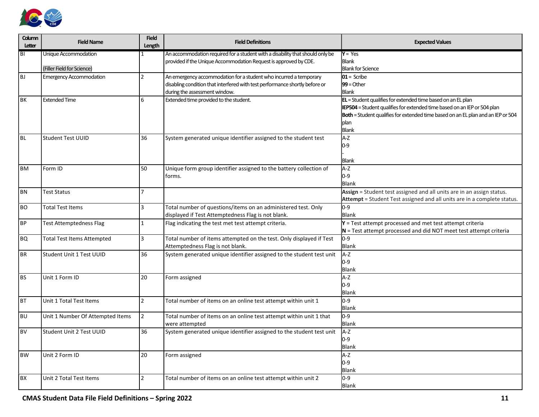

| Column<br>Letter | <b>Field Name</b>                 | <b>Field</b><br>Length | <b>Field Definitions</b>                                                                                     | <b>Expected Values</b>                                                                |
|------------------|-----------------------------------|------------------------|--------------------------------------------------------------------------------------------------------------|---------------------------------------------------------------------------------------|
| BI               | Unique Accommodation              | 1                      | An accommodation required for a student with a disability that should only be                                | $Y = Yes$                                                                             |
|                  |                                   |                        | provided if the Unique Accommodation Request is approved by CDE.                                             | Blank                                                                                 |
|                  | (Filler Field for Science)        |                        |                                                                                                              | <b>Blank for Science</b>                                                              |
| <b>BJ</b>        | <b>Emergency Accommodation</b>    | 2                      | An emergency accommodation for a student who incurred a temporary                                            | $01 =$ Scribe<br>$99 = Other$                                                         |
|                  |                                   |                        | disabling condition that interfered with test performance shortly before or<br>during the assessment window. | <b>Blank</b>                                                                          |
| <b>BK</b>        | <b>Extended Time</b>              | 6                      | Extended time provided to the student.                                                                       | <b>EL</b> = Student qualifies for extended time based on an EL plan                   |
|                  |                                   |                        |                                                                                                              | <b>IEP504</b> = Student qualifies for extended time based on an IEP or 504 plan       |
|                  |                                   |                        |                                                                                                              | Both = Student qualifies for extended time based on an EL plan and an IEP or 504      |
|                  |                                   |                        |                                                                                                              | plan                                                                                  |
|                  |                                   |                        |                                                                                                              | Blank                                                                                 |
| <b>BL</b>        | <b>Student Test UUID</b>          | 36                     | System generated unique identifier assigned to the student test                                              | A-Z                                                                                   |
|                  |                                   |                        |                                                                                                              | $0-9$                                                                                 |
|                  |                                   |                        |                                                                                                              |                                                                                       |
|                  |                                   |                        |                                                                                                              | Blank                                                                                 |
| <b>BM</b>        | Form ID                           | 50                     | Unique form group identifier assigned to the battery collection of                                           | A-Z                                                                                   |
|                  |                                   |                        | forms.                                                                                                       | $0 - 9$                                                                               |
|                  |                                   | 7                      |                                                                                                              | <b>Blank</b><br>Assign = Student test assigned and all units are in an assign status. |
| <b>BN</b>        | Test Status                       |                        |                                                                                                              | Attempt = Student Test assigned and all units are in a complete status.               |
| <b>BO</b>        | <b>Total Test Items</b>           | 3                      | Total number of questions/items on an administered test. Only                                                | $0-9$                                                                                 |
|                  |                                   |                        | displayed if Test Attemptedness Flag is not blank.                                                           | <b>Blank</b>                                                                          |
| <b>BP</b>        | <b>Test Attemptedness Flag</b>    | $\mathbf{1}$           | Flag indicating the test met test attempt criteria.                                                          | $Y = Test$ attempt processed and met test attempt criteria                            |
|                  |                                   |                        |                                                                                                              | $N$ = Test attempt processed and did NOT meet test attempt criteria                   |
| <b>BQ</b>        | <b>Total Test Items Attempted</b> | 3                      | Total number of items attempted on the test. Only displayed if Test                                          | $0-9$                                                                                 |
|                  |                                   |                        | Attemptedness Flag is not blank.                                                                             | Blank                                                                                 |
| <b>BR</b>        | Student Unit 1 Test UUID          | 36                     | System generated unique identifier assigned to the student test unit                                         | A-Z                                                                                   |
|                  |                                   |                        |                                                                                                              | $0 - 9$                                                                               |
|                  |                                   |                        |                                                                                                              | Blank                                                                                 |
| <b>BS</b>        | Unit 1 Form ID                    | 20                     | Form assigned                                                                                                | A-Z                                                                                   |
|                  |                                   |                        |                                                                                                              | $0 - 9$                                                                               |
|                  |                                   |                        |                                                                                                              | Blank                                                                                 |
| <b>BT</b>        | Unit 1 Total Test Items           | $\overline{2}$         | Total number of items on an online test attempt within unit 1                                                | $0-9$                                                                                 |
|                  |                                   |                        |                                                                                                              | Blank                                                                                 |
| <b>BU</b>        | Unit 1 Number Of Attempted Items  | $\overline{2}$         | Total number of items on an online test attempt within unit 1 that                                           | $0 - 9$                                                                               |
|                  |                                   |                        | were attempted                                                                                               | Blank                                                                                 |
| <b>BV</b>        | Student Unit 2 Test UUID          | 36                     | System generated unique identifier assigned to the student test unit                                         | A-Z<br>$0 - 9$                                                                        |
|                  |                                   |                        |                                                                                                              | Blank                                                                                 |
| <b>BW</b>        | Unit 2 Form ID                    | 20                     | Form assigned                                                                                                | A-Z                                                                                   |
|                  |                                   |                        |                                                                                                              | $0 - 9$                                                                               |
|                  |                                   |                        |                                                                                                              | Blank                                                                                 |
| BX               | Unit 2 Total Test Items           | $\overline{2}$         | Total number of items on an online test attempt within unit 2                                                | $0 - 9$                                                                               |
|                  |                                   |                        |                                                                                                              | <b>Blank</b>                                                                          |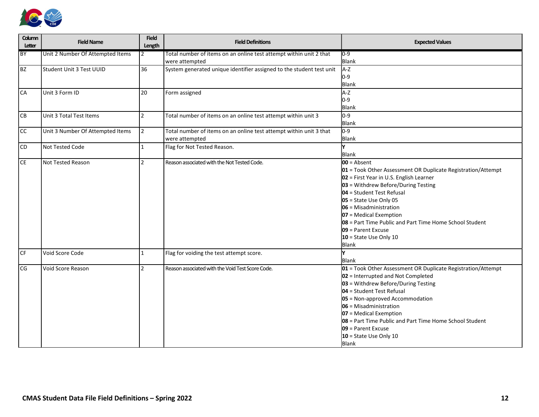

| Column<br>Letter | <b>Field Name</b>                | <b>Field</b><br>Length | <b>Field Definitions</b>                                                             | <b>Expected Values</b>                                                                                                                                                                                                                                                                                                                                                                                               |
|------------------|----------------------------------|------------------------|--------------------------------------------------------------------------------------|----------------------------------------------------------------------------------------------------------------------------------------------------------------------------------------------------------------------------------------------------------------------------------------------------------------------------------------------------------------------------------------------------------------------|
| BY               | Unit 2 Number Of Attempted Items | 12                     | Total number of items on an online test attempt within unit 2 that<br>were attempted | 0-9<br>Blank                                                                                                                                                                                                                                                                                                                                                                                                         |
| BZ               | Student Unit 3 Test UUID         | 36                     | System generated unique identifier assigned to the student test unit                 | A-Z<br>$0-9$<br>Blank                                                                                                                                                                                                                                                                                                                                                                                                |
| CA               | Unit 3 Form ID                   | 20                     | Form assigned                                                                        | A-Z<br>$0-9$<br>Blank                                                                                                                                                                                                                                                                                                                                                                                                |
| <b>CB</b>        | Unit 3 Total Test Items          | $\overline{2}$         | Total number of items on an online test attempt within unit 3                        | $0-9$<br>Blank                                                                                                                                                                                                                                                                                                                                                                                                       |
| l CC             | Unit 3 Number Of Attempted Items | <u> 2</u>              | Total number of items on an online test attempt within unit 3 that<br>were attempted | $0-9$<br><b>Blank</b>                                                                                                                                                                                                                                                                                                                                                                                                |
| <b>CD</b>        | Not Tested Code                  | $\vert$ 1              | Flag for Not Tested Reason.                                                          | Blank                                                                                                                                                                                                                                                                                                                                                                                                                |
| CE               | Not Tested Reason                | $\overline{2}$         | Reason associated with the Not Tested Code.                                          | $00 =$ Absent<br>01 = Took Other Assessment OR Duplicate Registration/Attempt<br>02 = First Year in U.S. English Learner<br>03 = Withdrew Before/During Testing<br>$104$ = Student Test Refusal<br>$05$ = State Use Only 05<br>$106$ = Misadministration<br>$07$ = Medical Exemption<br><b>08</b> = Part Time Public and Part Time Home School Student<br>$109$ = Parent Excuse<br>$10 =$ State Use Only 10<br>Blank |
| <b>CF</b>        | Void Score Code                  | $\vert$ 1              | Flag for voiding the test attempt score.                                             | <b>Blank</b>                                                                                                                                                                                                                                                                                                                                                                                                         |
| CG               | Void Score Reason                | $\overline{2}$         | Reason associated with the Void Test Score Code.                                     | 01 = Took Other Assessment OR Duplicate Registration/Attempt<br>02 = Interrupted and Not Completed<br>03 = Withdrew Before/During Testing<br>$04$ = Student Test Refusal<br>05 = Non-approved Accommodation<br>06 = Misadministration<br>07 = Medical Exemption<br>08 = Part Time Public and Part Time Home School Student<br>09 = Parent Excuse<br>10 = State Use Only 10<br><b>Blank</b>                           |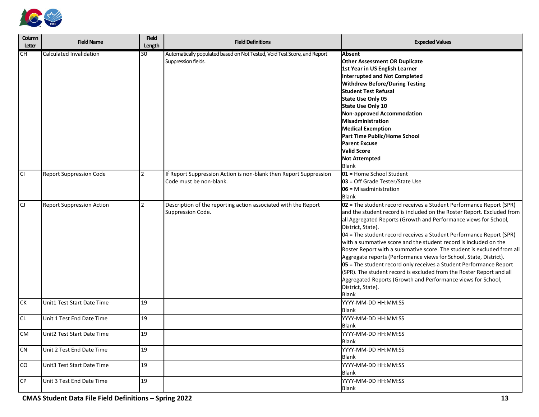

| Column<br>Letter | <b>Field Name</b>                | <b>Field</b><br>Length | <b>Field Definitions</b>                                                                        | <b>Expected Values</b>                                                                                                                                                                                                                                                                                                                                                                                                                                                                                                                                                                                                                                                                                                                                                                   |
|------------------|----------------------------------|------------------------|-------------------------------------------------------------------------------------------------|------------------------------------------------------------------------------------------------------------------------------------------------------------------------------------------------------------------------------------------------------------------------------------------------------------------------------------------------------------------------------------------------------------------------------------------------------------------------------------------------------------------------------------------------------------------------------------------------------------------------------------------------------------------------------------------------------------------------------------------------------------------------------------------|
| <b>ICH</b>       | <b>Calculated Invalidation</b>   | 30                     | Automatically populated based on Not Tested, Void Test Score, and Report<br>Suppression fields. | <b>Absent</b><br><b>Other Assessment OR Duplicate</b><br>1st Year in US English Learner<br>Interrupted and Not Completed<br><b>Withdrew Before/During Testing</b><br><b>Student Test Refusal</b><br>State Use Only 05<br>State Use Only 10<br>Non-approved Accommodation<br>Misadministration<br><b>Medical Exemption</b><br>Part Time Public/Home School<br><b>Parent Excuse</b><br><b>Valid Score</b><br><b>Not Attempted</b><br>Blank                                                                                                                                                                                                                                                                                                                                                 |
| l CI             | <b>Report Suppression Code</b>   | $\mathcal{P}$          | If Report Suppression Action is non-blank then Report Suppression<br>Code must be non-blank.    | $101$ = Home School Student<br>03 = Off Grade Tester/State Use<br>$106$ = Misadministration<br>Blank                                                                                                                                                                                                                                                                                                                                                                                                                                                                                                                                                                                                                                                                                     |
| CJ               | <b>Report Suppression Action</b> | $\mathfrak{p}$         | Description of the reporting action associated with the Report<br>Suppression Code.             | $ 02 $ = The student record receives a Student Performance Report (SPR)<br>and the student record is included on the Roster Report. Excluded from<br>all Aggregated Reports (Growth and Performance views for School,<br>District, State).<br>04 = The student record receives a Student Performance Report (SPR)<br>with a summative score and the student record is included on the<br>Roster Report with a summative score. The student is excluded from all<br>Aggregate reports (Performance views for School, State, District).<br>05 = The student record only receives a Student Performance Report<br>(SPR). The student record is excluded from the Roster Report and all<br>Aggregated Reports (Growth and Performance views for School,<br>District, State).<br><b>Blank</b> |
| CK               | Unit1 Test Start Date Time       | 19                     |                                                                                                 | YYYY-MM-DD HH:MM:SS<br>Blank                                                                                                                                                                                                                                                                                                                                                                                                                                                                                                                                                                                                                                                                                                                                                             |
| cl               | Unit 1 Test End Date Time        | 19                     |                                                                                                 | YYYY-MM-DD HH:MM:SS<br>Blank                                                                                                                                                                                                                                                                                                                                                                                                                                                                                                                                                                                                                                                                                                                                                             |
| <b>CM</b>        | Unit2 Test Start Date Time       | 19                     |                                                                                                 | YYYY-MM-DD HH:MM:SS<br><b>Blank</b>                                                                                                                                                                                                                                                                                                                                                                                                                                                                                                                                                                                                                                                                                                                                                      |
| CN               | Unit 2 Test End Date Time        | 19                     |                                                                                                 | YYYY-MM-DD HH:MM:SS<br>Blank                                                                                                                                                                                                                                                                                                                                                                                                                                                                                                                                                                                                                                                                                                                                                             |
| co               | Unit3 Test Start Date Time       | 19                     |                                                                                                 | YYYY-MM-DD HH:MM:SS<br>Blank                                                                                                                                                                                                                                                                                                                                                                                                                                                                                                                                                                                                                                                                                                                                                             |
| CP               | Unit 3 Test End Date Time        | 19                     |                                                                                                 | YYYY-MM-DD HH:MM:SS<br>Blank                                                                                                                                                                                                                                                                                                                                                                                                                                                                                                                                                                                                                                                                                                                                                             |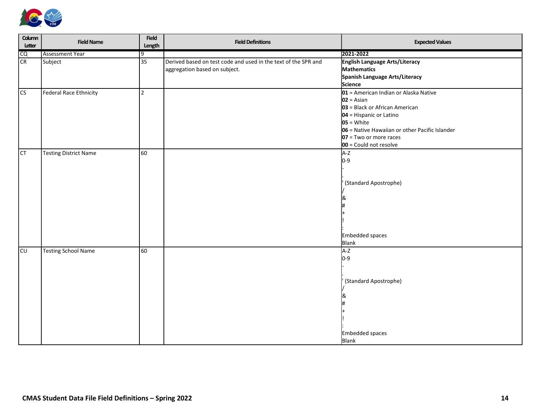

| Column<br>Letter | <b>Field Name</b>            | Field<br>Length | <b>Field Definitions</b>                                       | <b>Expected Values</b>                         |
|------------------|------------------------------|-----------------|----------------------------------------------------------------|------------------------------------------------|
| CQ               | <b>Assessment Year</b>       | 9               |                                                                | 2021-2022                                      |
| <b>CR</b>        | Subject                      | 35              | Derived based on test code and used in the text of the SPR and | English Language Arts/Literacy                 |
|                  |                              |                 | aggregation based on subject.                                  | Mathematics                                    |
|                  |                              |                 |                                                                | Spanish Language Arts/Literacy                 |
|                  |                              |                 |                                                                | Science                                        |
| cs               | Federal Race Ethnicity       | $\vert$ 2       |                                                                | 01 = American Indian or Alaska Native          |
|                  |                              |                 |                                                                | $02 = Asian$                                   |
|                  |                              |                 |                                                                | 03 = Black or African American                 |
|                  |                              |                 |                                                                | $04$ = Hispanic or Latino                      |
|                  |                              |                 |                                                                | $\overline{\text{05}}$ = White                 |
|                  |                              |                 |                                                                | 06 = Native Hawaiian or other Pacific Islander |
|                  |                              |                 |                                                                | $07 = Two or more races$                       |
|                  |                              |                 |                                                                | 00 = Could not resolve                         |
| CT               | <b>Testing District Name</b> | 60              |                                                                | $A-Z$                                          |
|                  |                              |                 |                                                                | $0-9$                                          |
|                  |                              |                 |                                                                |                                                |
|                  |                              |                 |                                                                |                                                |
|                  |                              |                 |                                                                | (Standard Apostrophe)                          |
|                  |                              |                 |                                                                |                                                |
|                  |                              |                 |                                                                |                                                |
|                  |                              |                 |                                                                |                                                |
|                  |                              |                 |                                                                |                                                |
|                  |                              |                 |                                                                |                                                |
|                  |                              |                 |                                                                |                                                |
|                  |                              |                 |                                                                | Embedded spaces                                |
|                  |                              |                 |                                                                | Blank                                          |
| CU               | <b>Testing School Name</b>   | 60              |                                                                | $A-Z$                                          |
|                  |                              |                 |                                                                | $0 - 9$                                        |
|                  |                              |                 |                                                                |                                                |
|                  |                              |                 |                                                                |                                                |
|                  |                              |                 |                                                                | (Standard Apostrophe)                          |
|                  |                              |                 |                                                                |                                                |
|                  |                              |                 |                                                                |                                                |
|                  |                              |                 |                                                                |                                                |
|                  |                              |                 |                                                                |                                                |
|                  |                              |                 |                                                                |                                                |
|                  |                              |                 |                                                                |                                                |
|                  |                              |                 |                                                                | <b>Embedded spaces</b>                         |
|                  |                              |                 |                                                                | <b>Blank</b>                                   |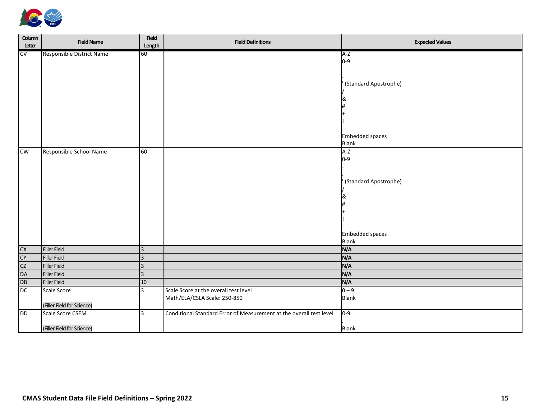

| Column<br>Letter | <b>Field Name</b>          | Field<br>Length | <b>Field Definitions</b>                                            | <b>Expected Values</b>   |
|------------------|----------------------------|-----------------|---------------------------------------------------------------------|--------------------------|
| CV               | Responsible District Name  | 60              |                                                                     | A-Z                      |
|                  |                            |                 |                                                                     | $0-9$                    |
|                  |                            |                 |                                                                     |                          |
|                  |                            |                 |                                                                     | (Standard Apostrophe)    |
|                  |                            |                 |                                                                     |                          |
|                  |                            |                 |                                                                     | ୪⊾                       |
|                  |                            |                 |                                                                     |                          |
|                  |                            |                 |                                                                     |                          |
|                  |                            |                 |                                                                     |                          |
|                  |                            |                 |                                                                     |                          |
|                  |                            |                 |                                                                     | Embedded spaces<br>Blank |
| $\mathsf{cw}$    | Responsible School Name    | 60              |                                                                     | A-Z                      |
|                  |                            |                 |                                                                     | $0-9$                    |
|                  |                            |                 |                                                                     |                          |
|                  |                            |                 |                                                                     |                          |
|                  |                            |                 |                                                                     | (Standard Apostrophe)    |
|                  |                            |                 |                                                                     |                          |
|                  |                            |                 |                                                                     |                          |
|                  |                            |                 |                                                                     |                          |
|                  |                            |                 |                                                                     |                          |
|                  |                            |                 |                                                                     |                          |
|                  |                            |                 |                                                                     | Embedded spaces          |
|                  |                            |                 |                                                                     | Blank                    |
| <b>CX</b>        | Filler Field               | 3               |                                                                     | N/A                      |
| CY               | Filler Field               | $ 3\rangle$     |                                                                     | N/A                      |
| cz               | Filler Field               | $\vert$ 3       |                                                                     | N/A                      |
| DA               | Filler Field               | <sub>3</sub>    |                                                                     | N/A                      |
| DB               | Filler Field               | $ 10\rangle$    |                                                                     | N/A                      |
| $\overline{bc}$  | Scale Score                | 3               | Scale Score at the overall test level                               | $0 - 9$                  |
|                  |                            |                 | Math/ELA/CSLA Scale: 250-850                                        | Blank                    |
|                  | (Filler Field for Science) |                 |                                                                     |                          |
| <b>DD</b>        | Scale Score CSEM           | 3               | Conditional Standard Error of Measurement at the overall test level | $0 - 9$                  |
|                  |                            |                 |                                                                     |                          |
|                  | (Filler Field for Science) |                 |                                                                     | <b>Blank</b>             |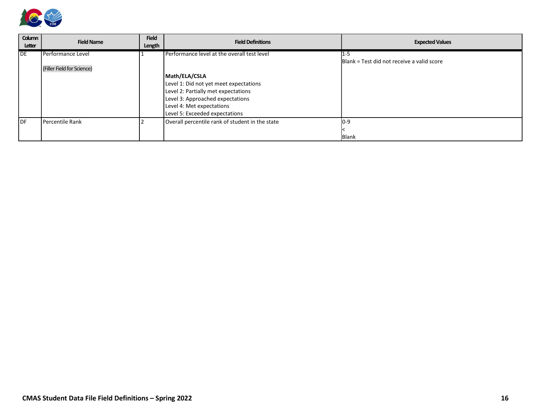

| Column<br>Letter | <b>Field Name</b>          | <b>Field</b><br>Length | <b>Field Definitions</b>                                                                                                                                                                          | <b>Expected Values</b>                                    |
|------------------|----------------------------|------------------------|---------------------------------------------------------------------------------------------------------------------------------------------------------------------------------------------------|-----------------------------------------------------------|
| <b>IDE</b>       | Performance Level          |                        | Performance level at the overall test level                                                                                                                                                       | 11-5<br><b>Blank = Test did not receive a valid score</b> |
|                  | (Filler Field for Science) |                        | Math/ELA/CSLA<br>Level 1: Did not yet meet expectations<br>Level 2: Partially met expectations<br>Level 3: Approached expectations<br>Level 4: Met expectations<br>Level 5: Exceeded expectations |                                                           |
| l DF             | Percentile Rank            |                        | Overall percentile rank of student in the state                                                                                                                                                   | $10 - 9$<br>Blank                                         |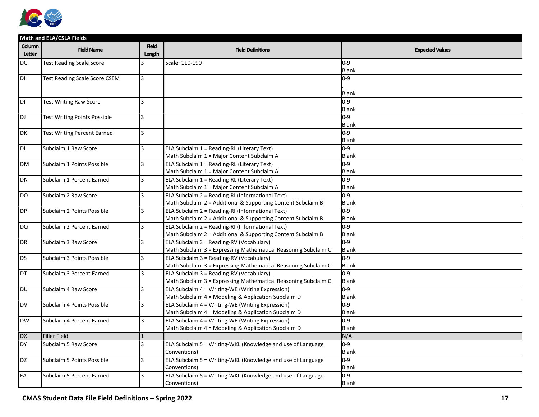

|                  | Math and ELA/CSLA Fields             |                        |                                                                |                        |  |  |
|------------------|--------------------------------------|------------------------|----------------------------------------------------------------|------------------------|--|--|
| Column<br>Letter | <b>Field Name</b>                    | <b>Field</b><br>Length | <b>Field Definitions</b>                                       | <b>Expected Values</b> |  |  |
| DG               | <b>Test Reading Scale Score</b>      | $\overline{3}$         | Scale: 110-190                                                 | $0-9$                  |  |  |
|                  |                                      |                        |                                                                | <b>Blank</b>           |  |  |
| DH               | <b>Test Reading Scale Score CSEM</b> | $\vert$ 3              |                                                                | $0-9$                  |  |  |
|                  |                                      |                        |                                                                |                        |  |  |
|                  |                                      |                        |                                                                | <b>Blank</b>           |  |  |
| DI               | <b>Test Writing Raw Score</b>        | l3                     |                                                                | $0-9$                  |  |  |
|                  |                                      |                        |                                                                | Blank                  |  |  |
| DJ               | <b>Test Writing Points Possible</b>  | <sub>3</sub>           |                                                                | $0-9$                  |  |  |
|                  |                                      |                        |                                                                | <b>Blank</b>           |  |  |
| DK               | <b>Test Writing Percent Earned</b>   | <sub>3</sub>           |                                                                | $0 - 9$                |  |  |
|                  |                                      |                        |                                                                | <b>Blank</b>           |  |  |
| <b>DL</b>        | Subclaim 1 Raw Score                 | $\overline{3}$         | ELA Subclaim 1 = Reading-RL (Literary Text)                    | $0 - 9$                |  |  |
|                  |                                      |                        | Math Subclaim 1 = Major Content Subclaim A                     | Blank                  |  |  |
| <b>DM</b>        | Subclaim 1 Points Possible           | 3                      | ELA Subclaim 1 = Reading-RL (Literary Text)                    | $0-9$                  |  |  |
|                  |                                      |                        | Math Subclaim 1 = Major Content Subclaim A                     | Blank                  |  |  |
| DN               | Subclaim 1 Percent Earned            | 3                      | ELA Subclaim 1 = Reading-RL (Literary Text)                    | $0 - 9$                |  |  |
|                  |                                      |                        | Math Subclaim 1 = Major Content Subclaim A                     | Blank                  |  |  |
| DO               | Subclaim 2 Raw Score                 | 3                      | ELA Subclaim 2 = Reading-RI (Informational Text)               | $0 - 9$                |  |  |
|                  |                                      |                        | Math Subclaim 2 = Additional & Supporting Content Subclaim B   | Blank                  |  |  |
| DP               | Subclaim 2 Points Possible           | <sub>3</sub>           | ELA Subclaim 2 = Reading-RI (Informational Text)               | $0-9$                  |  |  |
|                  |                                      |                        | Math Subclaim 2 = Additional & Supporting Content Subclaim B   | Blank                  |  |  |
| DQ               | Subclaim 2 Percent Earned            | <sub>3</sub>           | ELA Subclaim 2 = Reading-RI (Informational Text)               | $0-9$                  |  |  |
|                  |                                      |                        | Math Subclaim 2 = Additional & Supporting Content Subclaim B   | Blank                  |  |  |
| DR               | Subclaim 3 Raw Score                 | 3                      | ELA Subclaim 3 = Reading-RV (Vocabulary)                       | $0 - 9$                |  |  |
|                  |                                      |                        | Math Subclaim 3 = Expressing Mathematical Reasoning Subclaim C | <b>Blank</b>           |  |  |
| <b>DS</b>        | Subclaim 3 Points Possible           | 3                      | ELA Subclaim 3 = Reading-RV (Vocabulary)                       | 0-9                    |  |  |
|                  |                                      |                        | Math Subclaim 3 = Expressing Mathematical Reasoning Subclaim C | <b>Blank</b>           |  |  |
| DT               | Subclaim 3 Percent Earned            | <sub>3</sub>           | ELA Subclaim 3 = Reading-RV (Vocabulary)                       | $0 - 9$                |  |  |
|                  |                                      |                        | Math Subclaim 3 = Expressing Mathematical Reasoning Subclaim C | Blank                  |  |  |
| <b>DU</b>        | Subclaim 4 Raw Score                 | 3                      | ELA Subclaim 4 = Writing-WE (Writing Expression)               | $0 - 9$                |  |  |
|                  |                                      |                        | Math Subclaim 4 = Modeling & Application Subclaim D            | Blank                  |  |  |
| <b>DV</b>        | Subclaim 4 Points Possible           | 3                      | ELA Subclaim 4 = Writing-WE (Writing Expression)               | 0-9                    |  |  |
|                  |                                      |                        | Math Subclaim 4 = Modeling & Application Subclaim D            | Blank                  |  |  |
| <b>DW</b>        | Subclaim 4 Percent Earned            | $\overline{3}$         | ELA Subclaim 4 = Writing-WE (Writing Expression)               | 0-9                    |  |  |
|                  |                                      |                        | Math Subclaim 4 = Modeling & Application Subclaim D            | Blank                  |  |  |
| <b>DX</b>        | <b>Filler Field</b>                  | $\vert$ 1              |                                                                | N/A                    |  |  |
| <b>DY</b>        | Subclaim 5 Raw Score                 | 3                      | ELA Subclaim 5 = Writing-WKL (Knowledge and use of Language    | $0 - 9$                |  |  |
|                  |                                      |                        | Conventions)                                                   | Blank                  |  |  |
| DZ.              | Subclaim 5 Points Possible           | 3                      | ELA Subclaim 5 = Writing-WKL (Knowledge and use of Language    | $0 - 9$                |  |  |
|                  |                                      |                        | Conventions)                                                   | <b>Blank</b>           |  |  |
| EA               | Subclaim 5 Percent Earned            | 3                      | ELA Subclaim 5 = Writing-WKL (Knowledge and use of Language    | $0 - 9$                |  |  |
|                  |                                      |                        | Conventions)                                                   | <b>Blank</b>           |  |  |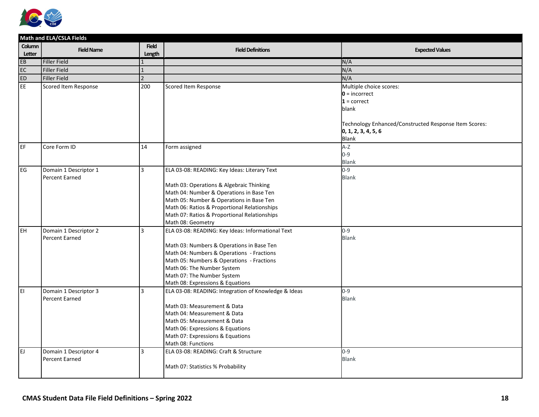

|                  | Math and ELA/CSLA Fields                       |                          |                                                            |                                                       |  |  |
|------------------|------------------------------------------------|--------------------------|------------------------------------------------------------|-------------------------------------------------------|--|--|
| Column<br>Letter | <b>Field Name</b>                              | <b>Field</b><br>Length   | <b>Field Definitions</b>                                   | <b>Expected Values</b>                                |  |  |
| EB               | Filler Field                                   | $\mathbf{1}$             |                                                            | N/A                                                   |  |  |
| EC               | Filler Field                                   | $\mathbf{1}$             |                                                            | N/A                                                   |  |  |
| <b>ED</b>        | Filler Field                                   | $\overline{\phantom{a}}$ |                                                            | N/A                                                   |  |  |
| E                | Scored Item Response                           | 200                      | Scored Item Response                                       | Multiple choice scores:                               |  |  |
|                  |                                                |                          |                                                            | $0 =$ incorrect                                       |  |  |
|                  |                                                |                          |                                                            | $1 = correct$                                         |  |  |
|                  |                                                |                          |                                                            | blank                                                 |  |  |
|                  |                                                |                          |                                                            |                                                       |  |  |
|                  |                                                |                          |                                                            | Technology Enhanced/Constructed Response Item Scores: |  |  |
|                  |                                                |                          |                                                            | 0, 1, 2, 3, 4, 5, 6                                   |  |  |
|                  |                                                |                          |                                                            | Blank                                                 |  |  |
| EF               | Core Form ID                                   | 14                       | Form assigned                                              | $A-Z$                                                 |  |  |
|                  |                                                |                          |                                                            | $0 - 9$                                               |  |  |
|                  |                                                |                          |                                                            | <b>Blank</b><br>$0 - 9$                               |  |  |
| EG               | Domain 1 Descriptor 1<br><b>Percent Earned</b> | 3                        | ELA 03-08: READING: Key Ideas: Literary Text               | <b>Blank</b>                                          |  |  |
|                  |                                                |                          | Math 03: Operations & Algebraic Thinking                   |                                                       |  |  |
|                  |                                                |                          | Math 04: Number & Operations in Base Ten                   |                                                       |  |  |
|                  |                                                |                          | Math 05: Number & Operations in Base Ten                   |                                                       |  |  |
|                  |                                                |                          | Math 06: Ratios & Proportional Relationships               |                                                       |  |  |
|                  |                                                |                          | Math 07: Ratios & Proportional Relationships               |                                                       |  |  |
|                  |                                                |                          | Math 08: Geometry                                          |                                                       |  |  |
| <b>EH</b>        | Domain 1 Descriptor 2                          | 3                        | ELA 03-08: READING: Key Ideas: Informational Text          | $0 - 9$                                               |  |  |
|                  | <b>Percent Earned</b>                          |                          |                                                            | <b>Blank</b>                                          |  |  |
|                  |                                                |                          | Math 03: Numbers & Operations in Base Ten                  |                                                       |  |  |
|                  |                                                |                          | Math 04: Numbers & Operations - Fractions                  |                                                       |  |  |
|                  |                                                |                          | Math 05: Numbers & Operations - Fractions                  |                                                       |  |  |
|                  |                                                |                          | Math 06: The Number System                                 |                                                       |  |  |
|                  |                                                |                          | Math 07: The Number System                                 |                                                       |  |  |
|                  |                                                |                          | Math 08: Expressions & Equations                           |                                                       |  |  |
| EI               | Domain 1 Descriptor 3                          | 3                        | ELA 03-08: READING: Integration of Knowledge & Ideas       | $0 - 9$                                               |  |  |
|                  | <b>Percent Earned</b>                          |                          |                                                            | <b>Blank</b>                                          |  |  |
|                  |                                                |                          | Math 03: Measurement & Data                                |                                                       |  |  |
|                  |                                                |                          | Math 04: Measurement & Data<br>Math 05: Measurement & Data |                                                       |  |  |
|                  |                                                |                          | Math 06: Expressions & Equations                           |                                                       |  |  |
|                  |                                                |                          | Math 07: Expressions & Equations                           |                                                       |  |  |
|                  |                                                |                          | Math 08: Functions                                         |                                                       |  |  |
| EJ               | Domain 1 Descriptor 4                          | 3                        | ELA 03-08: READING: Craft & Structure                      | $0 - 9$                                               |  |  |
|                  | <b>Percent Earned</b>                          |                          |                                                            | <b>Blank</b>                                          |  |  |
|                  |                                                |                          | Math 07: Statistics % Probability                          |                                                       |  |  |
|                  |                                                |                          |                                                            |                                                       |  |  |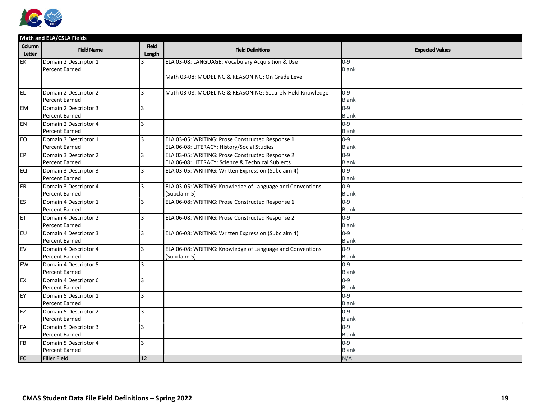

|                  | Math and ELA/CSLA Fields |                        |                                                           |                        |  |  |
|------------------|--------------------------|------------------------|-----------------------------------------------------------|------------------------|--|--|
| Column<br>Letter | <b>Field Name</b>        | <b>Field</b><br>Length | <b>Field Definitions</b>                                  | <b>Expected Values</b> |  |  |
| EK               | Domain 2 Descriptor 1    | $\mathbf{a}$           | ELA 03-08: LANGUAGE: Vocabulary Acquisition & Use         | $0 - 9$                |  |  |
|                  | <b>Percent Earned</b>    |                        |                                                           | <b>Blank</b>           |  |  |
|                  |                          |                        | Math 03-08: MODELING & REASONING: On Grade Level          |                        |  |  |
| l EL             | Domain 2 Descriptor 2    | 3                      | Math 03-08: MODELING & REASONING: Securely Held Knowledge | $0 - 9$                |  |  |
|                  | Percent Earned           |                        |                                                           | <b>Blank</b>           |  |  |
| <b>EM</b>        | Domain 2 Descriptor 3    | 3                      |                                                           | $0 - 9$                |  |  |
|                  | Percent Earned           |                        |                                                           | <b>Blank</b>           |  |  |
| EN.              | Domain 2 Descriptor 4    | 3                      |                                                           | $0 - 9$                |  |  |
|                  | Percent Earned           |                        |                                                           | <b>Blank</b>           |  |  |
| <b>EO</b>        | Domain 3 Descriptor 1    | 3                      | ELA 03-05: WRITING: Prose Constructed Response 1          | $0 - 9$                |  |  |
|                  | <b>Percent Earned</b>    |                        | ELA 06-08: LITERACY: History/Social Studies               | <b>Blank</b>           |  |  |
| EP               | Domain 3 Descriptor 2    | 3                      | ELA 03-05: WRITING: Prose Constructed Response 2          | $0 - 9$                |  |  |
|                  | Percent Earned           |                        | ELA 06-08: LITERACY: Science & Technical Subjects         | <b>Blank</b>           |  |  |
| EQ               | Domain 3 Descriptor 3    | 3                      | ELA 03-05: WRITING: Written Expression (Subclaim 4)       | $0 - 9$                |  |  |
|                  | Percent Earned           |                        |                                                           | <b>Blank</b>           |  |  |
| ER               | Domain 3 Descriptor 4    | $\overline{3}$         | ELA 03-05: WRITING: Knowledge of Language and Conventions | $0 - 9$                |  |  |
|                  | Percent Earned           |                        | (Subclaim 5)                                              | <b>Blank</b>           |  |  |
| ES.              | Domain 4 Descriptor 1    | 3                      | ELA 06-08: WRITING: Prose Constructed Response 1          | $0 - 9$                |  |  |
|                  | <b>Percent Earned</b>    |                        |                                                           | <b>Blank</b>           |  |  |
| ET               | Domain 4 Descriptor 2    | 3                      | ELA 06-08: WRITING: Prose Constructed Response 2          | $0 - 9$                |  |  |
|                  | <b>Percent Earned</b>    |                        |                                                           | <b>Blank</b>           |  |  |
| <b>EU</b>        | Domain 4 Descriptor 3    | 3                      | ELA 06-08: WRITING: Written Expression (Subclaim 4)       | $0 - 9$                |  |  |
|                  | Percent Earned           |                        |                                                           | <b>Blank</b>           |  |  |
| EV               | Domain 4 Descriptor 4    | 3                      | ELA 06-08: WRITING: Knowledge of Language and Conventions | $0 - 9$                |  |  |
|                  | Percent Earned           |                        | (Subclaim 5)                                              | <b>Blank</b>           |  |  |
| <b>EW</b>        | Domain 4 Descriptor 5    | 3                      |                                                           | $0 - 9$                |  |  |
|                  | Percent Earned           |                        |                                                           | <b>Blank</b>           |  |  |
| EX.              | Domain 4 Descriptor 6    | 3                      |                                                           | $0 - 9$                |  |  |
|                  | Percent Earned           |                        |                                                           | <b>Blank</b>           |  |  |
| EY.              | Domain 5 Descriptor 1    | $\overline{3}$         |                                                           | $0 - 9$                |  |  |
|                  | <b>Percent Earned</b>    |                        |                                                           | <b>Blank</b>           |  |  |
| EZ               | Domain 5 Descriptor 2    | 3                      |                                                           | $0 - 9$                |  |  |
|                  | Percent Earned           |                        |                                                           | <b>Blank</b>           |  |  |
| FA               | Domain 5 Descriptor 3    | 3                      |                                                           | $0 - 9$                |  |  |
|                  | Percent Earned           |                        |                                                           | <b>Blank</b>           |  |  |
| <b>FB</b>        | Domain 5 Descriptor 4    | 3                      |                                                           | $0 - 9$                |  |  |
|                  | <b>Percent Earned</b>    |                        |                                                           | <b>Blank</b>           |  |  |
| <b>FC</b>        | <b>Filler Field</b>      | 12                     |                                                           | N/A                    |  |  |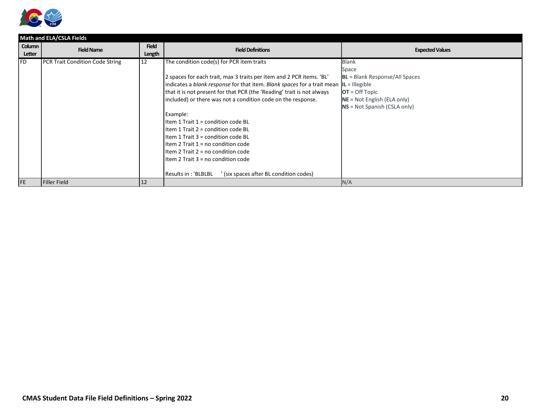

|                  | Math and ELA/CSLA Fields        |                        |                                                                                                                                                                                                                                                                                                                                                                                                                                                                                                                                                                                                                                                                |                                                                                                                                                                           |  |  |
|------------------|---------------------------------|------------------------|----------------------------------------------------------------------------------------------------------------------------------------------------------------------------------------------------------------------------------------------------------------------------------------------------------------------------------------------------------------------------------------------------------------------------------------------------------------------------------------------------------------------------------------------------------------------------------------------------------------------------------------------------------------|---------------------------------------------------------------------------------------------------------------------------------------------------------------------------|--|--|
| Column<br>Letter | <b>Field Name</b>               | <b>Field</b><br>Length | <b>Field Definitions</b>                                                                                                                                                                                                                                                                                                                                                                                                                                                                                                                                                                                                                                       | <b>Expected Values</b>                                                                                                                                                    |  |  |
| l FD.            | PCR Trait Condition Code String | 12                     | The condition code(s) for PCR item traits<br>2 spaces for each trait, max 3 traits per item and 2 PCR items. 'BL'<br>indicates a blank response for that item. Blank spaces for a trait mean<br>that it is not present for that PCR (the 'Reading' trait is not always<br>included) or there was not a condition code on the response.<br>Example:<br>Item 1 Trait $1 =$ condition code BL<br>Item 1 Trait 2 = condition code BL<br>Item 1 Trait 3 = condition code BL<br>Item 2 Trait $1 = no$ condition code<br>Item 2 Trait $2 = no$ condition code<br>Item 2 Trait 3 = no condition code<br>' (six spaces after BL condition codes)<br>Results in: 'BLBLBL | <b>Blank</b><br>Space<br><b>BL</b> = Blank Response/All Spaces<br>$IL = IIlegible$<br>$OT = Off Topic$<br>$NE = Not English (ELA only)$<br>$NS = Not Spanish (CSLA only)$ |  |  |
| <b>IFE</b>       | Filler Field                    | 12                     |                                                                                                                                                                                                                                                                                                                                                                                                                                                                                                                                                                                                                                                                | N/A                                                                                                                                                                       |  |  |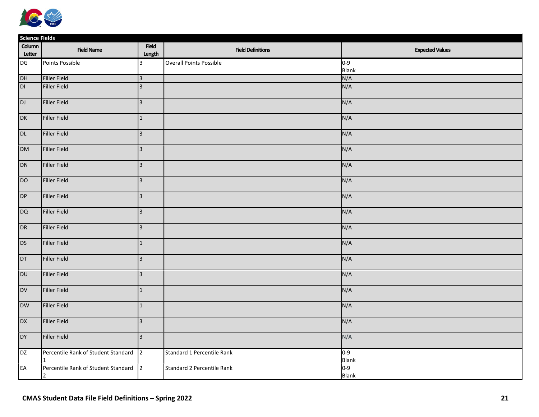

|                  | <b>Science Fields</b>                                 |                         |                                   |                         |  |  |
|------------------|-------------------------------------------------------|-------------------------|-----------------------------------|-------------------------|--|--|
| Column<br>Letter | <b>Field Name</b>                                     | Field<br>Length         | <b>Field Definitions</b>          | <b>Expected Values</b>  |  |  |
| DG               | Points Possible                                       | 3                       | Overall Points Possible           | $0-9$<br>Blank          |  |  |
| DH               | Filler Field                                          | $\overline{\mathbf{3}}$ |                                   | N/A                     |  |  |
| DI.              | Filler Field                                          | $\overline{3}$          |                                   | N/A                     |  |  |
| DJ               | Filler Field                                          | $\overline{3}$          |                                   | N/A                     |  |  |
| DK               | Filler Field                                          | $\mathbf{1}$            |                                   | N/A                     |  |  |
| DL               | Filler Field                                          | $\overline{3}$          |                                   | N/A                     |  |  |
| <b>DM</b>        | Filler Field                                          | $\overline{3}$          |                                   | N/A                     |  |  |
| DN               | Filler Field                                          | $\overline{3}$          |                                   | N/A                     |  |  |
| DO               | Filler Field                                          | $\overline{\mathbf{3}}$ |                                   | N/A                     |  |  |
| DP               | Filler Field                                          | $\overline{3}$          |                                   | N/A                     |  |  |
| DQ               | Filler Field                                          | $\overline{3}$          |                                   | N/A                     |  |  |
| DR               | Filler Field                                          | $ 3\rangle$             |                                   | N/A                     |  |  |
| DS               | Filler Field                                          | $\mathbf{1}$            |                                   | N/A                     |  |  |
| DT               | Filler Field                                          | $\overline{3}$          |                                   | N/A                     |  |  |
| <b>DU</b>        | Filler Field                                          | $\overline{3}$          |                                   | N/A                     |  |  |
| <b>DV</b>        | Filler Field                                          | $\mathbf{1}$            |                                   | N/A                     |  |  |
| <b>DW</b>        | Filler Field                                          | $\mathbf 1$             |                                   | N/A                     |  |  |
| <b>DX</b>        | Filler Field                                          | $\overline{3}$          |                                   | N/A                     |  |  |
| DY               | Filler Field                                          | $\overline{3}$          |                                   | N/A                     |  |  |
| <b>DZ</b>        | Percentile Rank of Student Standard                   | $\vert$ 2               | Standard 1 Percentile Rank        | $0-9$<br>Blank          |  |  |
| EA               | Percentile Rank of Student Standard<br>$\overline{2}$ | $\vert$ 2               | <b>Standard 2 Percentile Rank</b> | $0 - 9$<br><b>Blank</b> |  |  |